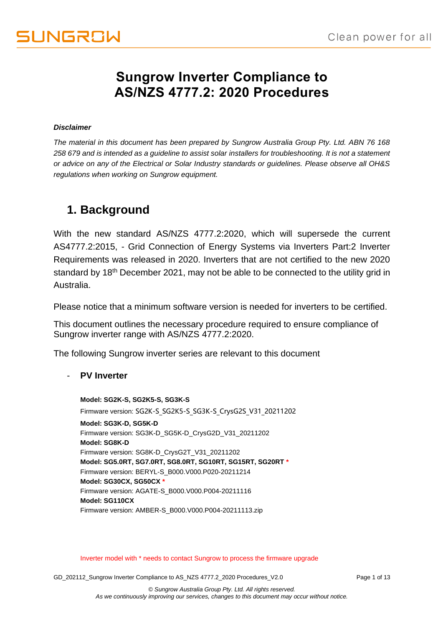## **Sungrow Inverter Compliance to AS/NZS 4777.2: 2020 Procedures**

#### *Disclaimer*

*The material in this document has been prepared by Sungrow Australia Group Pty. Ltd. ABN 76 168 258 679 and is intended as a guideline to assist solar installers for troubleshooting. It is not a statement or advice on any of the Electrical or Solar Industry standards or guidelines. Please observe all OH&S regulations when working on Sungrow equipment.*

## **1. Background**

With the new standard AS/NZS 4777.2:2020, which will supersede the current AS4777.2:2015, - Grid Connection of Energy Systems via Inverters Part:2 Inverter Requirements was released in 2020. Inverters that are not certified to the new 2020 standard by 18<sup>th</sup> December 2021, may not be able to be connected to the utility grid in Australia.

Please notice that a minimum software version is needed for inverters to be certified.

This document outlines the necessary procedure required to ensure compliance of Sungrow inverter range with AS/NZS 4777.2:2020.

The following Sungrow inverter series are relevant to this document

- **PV Inverter**

**Model: SG2K-S, SG2K5-S, SG3K-S** Firmware version: SG2K-S\_SG2K5-S\_SG3K-S\_CrysG2S\_V31\_20211202 **Model: SG3K-D, SG5K-D** Firmware version: SG3K-D\_SG5K-D\_CrysG2D\_V31\_20211202 **Model: SG8K-D** Firmware version: SG8K-D\_CrysG2T\_V31\_20211202 **Model: SG5.0RT, SG7.0RT, SG8.0RT, SG10RT, SG15RT, SG20RT \*** Firmware version: BERYL-S\_B000.V000.P020-20211214 **Model: SG30CX, SG50CX \*** Firmware version: AGATE-S\_B000.V000.P004-20211116 **Model: SG110CX** Firmware version: AMBER-S\_B000.V000.P004-20211113.zip

Inverter model with \* needs to contact Sungrow to process the firmware upgrade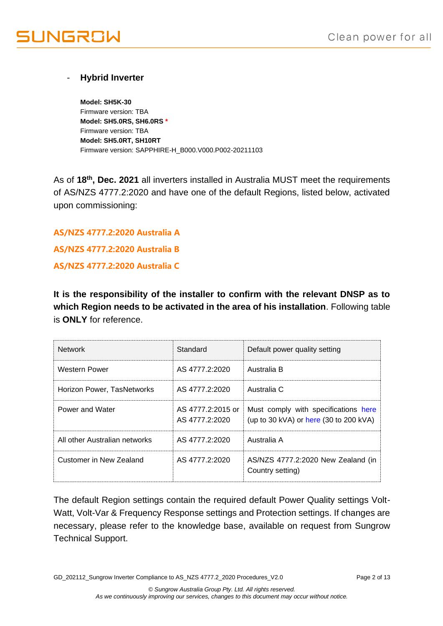### - **Hybrid Inverter**

**Model: SH5K-30** Firmware version: TBA **Model: SH5.0RS, SH6.0RS \*** Firmware version: TBA **Model: SH5.0RT, SH10RT** Firmware version: SAPPHIRE-H\_B000.V000.P002-20211103

As of **18th, Dec. 2021** all inverters installed in Australia MUST meet the requirements of AS/NZS 4777.2:2020 and have one of the default Regions, listed below, activated upon commissioning:

**AS/NZS 4777.2:2020 Australia A AS/NZS 4777.2:2020 Australia B AS/NZS 4777.2:2020 Australia C**

**It is the responsibility of the installer to confirm with the relevant DNSP as to which Region needs to be activated in the area of his installation**. Following table is **ONLY** for reference.

| <b>Network</b>                | Standard                            | Default power quality setting                                                  |
|-------------------------------|-------------------------------------|--------------------------------------------------------------------------------|
| <b>Western Power</b>          | AS 4777.2:2020                      | Australia B                                                                    |
| Horizon Power, TasNetworks    | AS 4777.2:2020                      | Australia C                                                                    |
| Power and Water               | AS 4777.2:2015 or<br>AS 4777.2:2020 | Must comply with specifications here<br>(up to 30 kVA) or here (30 to 200 kVA) |
| All other Australian networks | AS 4777.2:2020                      | Australia A                                                                    |
| Customer in New Zealand       | AS 4777.2:2020                      | AS/NZS 4777.2:2020 New Zealand (in<br>Country setting)                         |

The default Region settings contain the required default Power Quality settings Volt-Watt, Volt-Var & Frequency Response settings and Protection settings. If changes are necessary, please refer to the knowledge base, available on request from Sungrow Technical Support.

GD\_202112\_Sungrow Inverter Compliance to AS\_NZS 4777.2\_2020 Procedures\_V2.0 Page 2 of 13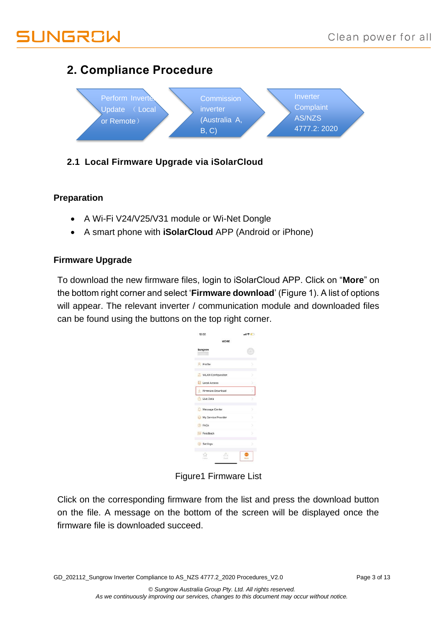# UNGROW

## **2. Compliance Procedure**



## **2.1 Local Firmware Upgrade via iSolarCloud**

### **Preparation**

- A Wi-Fi V24/V25/V31 module or Wi-Net Dongle
- A smart phone with **iSolarCloud** APP (Android or iPhone)

### **Firmware Upgrade**

To download the new firmware files, login to iSolarCloud APP. Click on "**More**" on the bottom right corner and select '**Firmware download**' (Figure 1). A list of options will appear. The relevant inverter / communication module and downloaded files can be found using the buttons on the top right corner.

|                     | $  \hat{\mathbf{v}}  $ |
|---------------------|------------------------|
| MORE                |                        |
|                     |                        |
|                     | s                      |
| WLAN Configuration  |                        |
| Local Access        |                        |
| Firmware Download   |                        |
|                     |                        |
| Message Center      | 5                      |
| My Service Provider | 5                      |
|                     |                        |
|                     | ъ                      |
|                     | s                      |
| $2 - 10$            |                        |
|                     |                        |

Figure1 Firmware List

Click on the corresponding firmware from the list and press the download button on the file. A message on the bottom of the screen will be displayed once the firmware file is downloaded succeed.

GD\_202112\_Sungrow Inverter Compliance to AS\_NZS 4777.2\_2020 Procedures\_V2.0 Page 3 of 13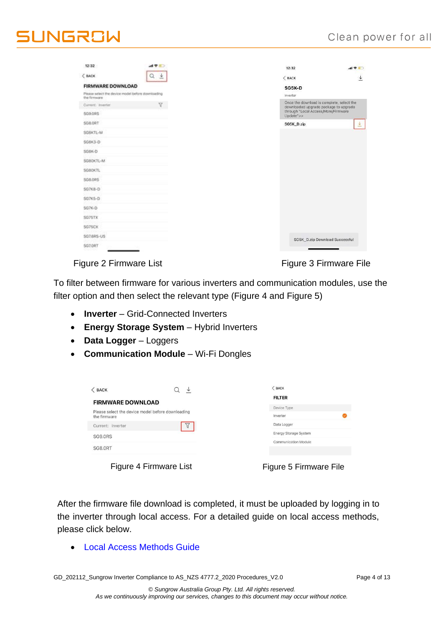| 12:32                                                             | $AB = 0$ | 12:32                                                                              | $m \approx 1$ |
|-------------------------------------------------------------------|----------|------------------------------------------------------------------------------------|---------------|
| C BACK                                                            | Q<br>土   | $<$ BACK                                                                           |               |
| <b>FIRMWARE DOWNLOAD</b>                                          |          | SG5K-D                                                                             |               |
| Please select the device model before downloading<br>the firmware |          | Inverter                                                                           |               |
| Current: Inverter                                                 | v.       | Once the download is complete, select the<br>downloaded upgrade package to upgrade |               |
| <b>SG9.0RS</b>                                                    |          | through "Local Access/More/Firmware<br>Update">>                                   |               |
| <b>SC8.0RT</b>                                                    |          | SG5K_D.zip                                                                         |               |
| SGSKTL-M                                                          |          |                                                                                    |               |
| SG&K3-D                                                           |          |                                                                                    |               |
| SG&K-D                                                            |          |                                                                                    |               |
| SG80KTL-M                                                         |          |                                                                                    |               |
| SG80KTL                                                           |          |                                                                                    |               |
| S08.0RS                                                           |          |                                                                                    |               |
| SG7KB-D                                                           |          |                                                                                    |               |
| \$G7KS-D                                                          |          |                                                                                    |               |
| \$G7K-D                                                           |          |                                                                                    |               |
| SG75TX                                                            |          |                                                                                    |               |
| SG75CX                                                            |          |                                                                                    |               |
| SG7.6RS-US                                                        |          | SG5K_D.zip Download Successful                                                     |               |
| <b>SG7.0RT</b>                                                    |          |                                                                                    |               |

Figure 2 Firmware List Figure 3 Firmware File

To filter between firmware for various inverters and communication modules, use the filter option and then select the relevant type (Figure 4 and Figure 5)

- **Inverter**  Grid-Connected Inverters
- **Energy Storage System**  Hybrid Inverters
- **Data Logger**  Loggers
- **Communication Module**  Wi-Fi Dongles

| $<$ BACK                                                          | ↓      | $<$ BACK                     |
|-------------------------------------------------------------------|--------|------------------------------|
| <b>FIRMWARE DOWNLOAD</b>                                          |        | <b>FILTER</b>                |
|                                                                   |        | Device Type                  |
| Please select the device model before downloading<br>the firmware |        | Inverter                     |
| Current: Inverter                                                 | V      | Data Logger                  |
| <b>SG9.0RS</b>                                                    |        | <b>Energy Storage System</b> |
|                                                                   |        | <b>Communication Module</b>  |
| SG8.0RT                                                           |        |                              |
|                                                                   |        |                              |
| --                                                                | .<br>. |                              |

Figure 4 Firmware List

|  |  |  | Figure 5 Firmware File |  |
|--|--|--|------------------------|--|
|--|--|--|------------------------|--|

After the firmware file download is completed, it must be uploaded by logging in to the inverter through local access. For a detailed guide on local access methods, please click below.

• [Local Access Methods](https://service.sungrowpower.com.au/files/Web_Files/FAQ/GD_202103_iSolarCloud_Local%20Access%20Methods_V1.0.pdf) Guide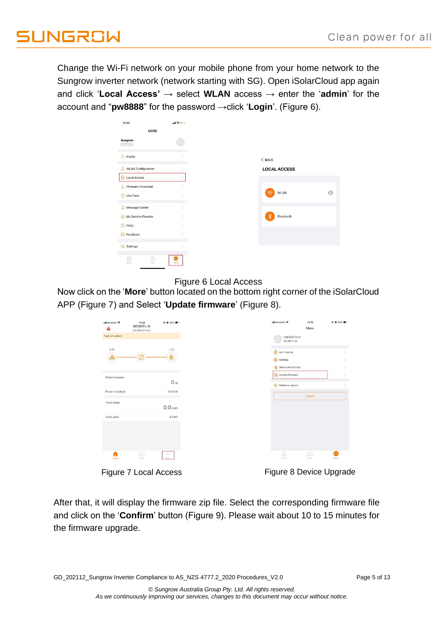Change the Wi-Fi network on your mobile phone from your home network to the Sungrow inverter network (network starting with SG). Open iSolarCloud app again and click '**Local Access'** → select **WLAN** access → enter the '**admin**' for the account and "**pw8888**" for the password →click '**Login**'. (Figure 6).

| 12:32                          | di字册 |                     |
|--------------------------------|------|---------------------|
| <b>MORE</b>                    |      |                     |
| Sungrow                        |      |                     |
| <b>A</b> Profile               |      | $<$ BACK            |
| WLAN Configuration             |      | <b>LOCAL ACCESS</b> |
| Local Access                   |      |                     |
| Firmware Download              |      |                     |
| Live Data                      |      | WLAN<br>କ           |
| Message Center<br>Ω.           |      |                     |
| My Service Provider<br>$\odot$ |      | ☀<br>Bluetooth      |
| <b>B</b> FAQs                  | x    |                     |
| Feedback                       |      |                     |
| Settings<br>$\{0\}$            |      |                     |

#### Figure 6 Local Access

Now click on the '**More**' button located on the bottom right corner of the iSolarCloud [APP \(Figure 7\)](#page-4-0) and Select '**Update firmware**' [\(Figure 8\)](#page-4-1).

| all amaysim ही<br>Δ  | 15:12<br>SG10KTL-M<br>SN:A1810071474 | © ● 60% ■      |
|----------------------|--------------------------------------|----------------|
| Fault shutdown       |                                      |                |
| 0 W                  |                                      | $-$ 0          |
| $\frac{0}{\sqrt{2}}$ |                                      | 我              |
| Current power        |                                      |                |
| Power installed      |                                      | O w<br>10.0 kW |
| Yield today          |                                      |                |
|                      |                                      | $0.0$ kWh      |
| Total yield          |                                      | 8 kWh          |
|                      |                                      |                |
|                      |                                      |                |
| n<br>Heme            | $\boxtimes$<br><b>Chart</b>          | 0.0.0<br>More. |
| −.                   | 71IA.                                |                |

<span id="page-4-1"></span>

<span id="page-4-0"></span>Figure 7 Local Access Figure 8 Device Upgrade

After that, it will display the firmware zip file. Select the corresponding firmware file and click on the '**Confirm**' button (Figure 9). Please wait about 10 to 15 minutes for the firmware upgrade.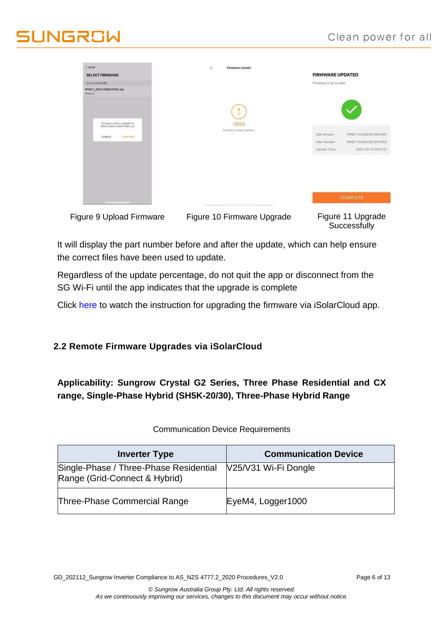## Clean power for all

# **I INGRAW**

| $<$ BACK<br><b>SELECT FIRMWARE</b>                         | $\langle$<br><b>Firmware Update</b> | <b>FIRMWARE UPDATED</b>                 |
|------------------------------------------------------------|-------------------------------------|-----------------------------------------|
| Downloaded file                                            |                                     | Firmware is up to date.                 |
| WINET_B003.V000.P003.zip<br>WiNet-S                        |                                     |                                         |
| Firmware will be updated via<br>"WINET_B003.V000.P003.zip" | 100%                                |                                         |
| CANCEL<br>CONFIRM                                          | Firmware is being updated           | WINET-SV200.001.00.P001<br>Old Version: |
|                                                            |                                     | Now Version:<br>WINET-SV200.001.00.P003 |
|                                                            |                                     | Update Time:<br>2021-05-11 09:01:57     |
|                                                            |                                     |                                         |
|                                                            |                                     |                                         |
|                                                            |                                     | <b>COMPLETE</b>                         |
| Figure 9 Upload Firmware                                   | Figure 10 Firmware Upgrade          | Figure 11 Upgrade<br>Successfully       |

It will display the part number before and after the update, which can help ensure the correct files have been used to update.

Regardless of the update percentage, do not quit the app or disconnect from the SG Wi-Fi until the app indicates that the upgrade is complete

Click [here t](https://youtu.be/2lNiNE7Gfvk)o watch the instruction for upgrading the firmware via iSolarCloud app.

### **2.2 Remote Firmware Upgrades via iSolarCloud**

**Applicability: Sungrow Crystal G2 Series, Three Phase Residential and CX range, Single-Phase Hybrid (SH5K-20/30), Three-Phase Hybrid Range**

| <b>Inverter Type</b>                                                    | <b>Communication Device</b> |
|-------------------------------------------------------------------------|-----------------------------|
| Single-Phase / Three-Phase Residential<br>Range (Grid-Connect & Hybrid) | V25/V31 Wi-Fi Dongle        |
| Three-Phase Commercial Range                                            | EyeM4, Logger1000           |

Communication Device Requirements

GD\_202112\_Sungrow Inverter Compliance to AS\_NZS 4777.2\_2020 Procedures\_V2.0 Page 6 of 13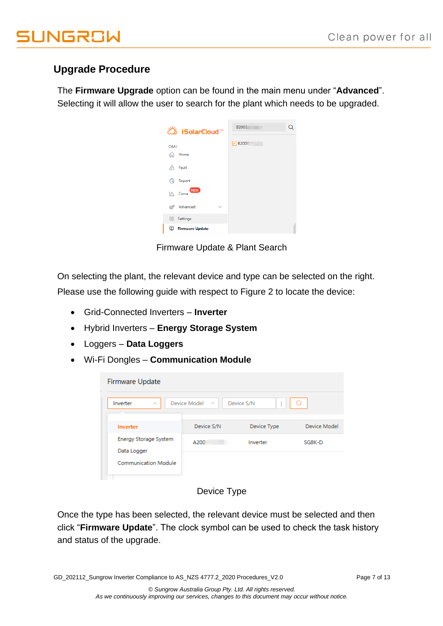## **Upgrade Procedure**

The **Firmware Upgrade** option can be found in the main menu under "**Advanced**". Selecting it will allow the user to search for the plant which needs to be upgraded.

| ඊ iSolarCloud™                                               | B2003<br>Q     |
|--------------------------------------------------------------|----------------|
| O&M                                                          | <b>▽ B2003</b> |
| Home<br>ና <sub>ከ</sub> ት<br>Fault<br>Λ                       |                |
| Report<br>LA.                                                |                |
| <b>NEW</b><br>$\mathbf{A}$ Curve<br>Advanced<br>$\checkmark$ |                |
| ක්<br>Settings                                               |                |
| <b>Firmware Update</b><br>Φ                                  |                |

Firmware Update & Plant Search

On selecting the plant, the relevant device and type can be selected on the right. Please use the following guide with respect to Figure 2 to locate the device:

- Grid-Connected Inverters **Inverter**
- Hybrid Inverters **Energy Storage System**
- Loggers **Data Loggers**
- Wi-Fi Dongles **Communication Module**

| Firmware Update                      |                     |                 |              |
|--------------------------------------|---------------------|-----------------|--------------|
| Inverter<br>$\hat{\phantom{a}}$      | Device Model $\vee$ | Device S/N<br>ŧ |              |
| Inverter                             | Device S/N          | Device Type     | Device Model |
| Energy Storage System<br>Data Logger | A200                | Inverter        | SG8K-D       |
| <b>Communication Module</b>          |                     |                 |              |

### Device Type

Once the type has been selected, the relevant device must be selected and then click "**Firmware Update**". The clock symbol can be used to check the task history and status of the upgrade.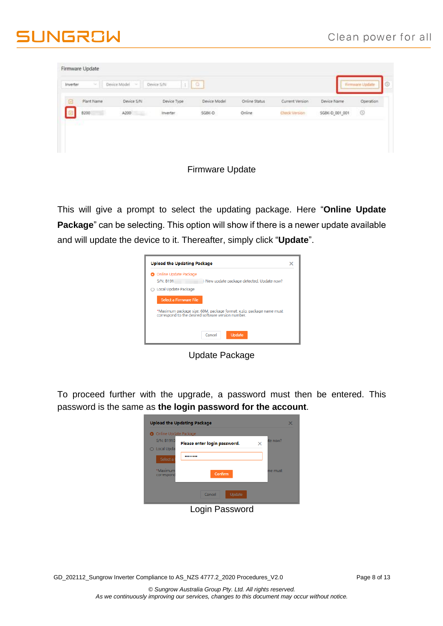# **JUNGROW**

|            |            |             | Lo.          |               |                 |                | Firmware Update |
|------------|------------|-------------|--------------|---------------|-----------------|----------------|-----------------|
| Plant Name | Device S/N | Device Type | Device Model | Online Status | Current Version | Device Name    | Operation       |
| 8200       | A200       | Inverter.   | SGBK-D       | Online        | Check Version   | SG8K-D_001_001 | $\circledcirc$  |
| ---        |            |             |              |               |                 |                |                 |

### Firmware Update

This will give a prompt to select the updating package. Here "**Online Update Package**" can be selecting. This option will show if there is a newer update available and will update the device to it. Thereafter, simply click "**Update**".

| <b>O</b> Online Update Package                     |                                                                      |  |
|----------------------------------------------------|----------------------------------------------------------------------|--|
| <b>S/N: B191</b>                                   | New update package detected. Update now?                             |  |
| ○ Local Update Package                             |                                                                      |  |
| Select a Firmware File                             |                                                                      |  |
| correspond to the desired software version number. | *Maximum package size: 60M, package format: x.zip, package name must |  |
|                                                    | Update<br>Cancel                                                     |  |

Update Package

To proceed further with the upgrade, a password must then be entered. This password is the same as **the login password for the account**.

| O Online Update Package |                              |   |          |
|-------------------------|------------------------------|---|----------|
| S/N: B1910              | Please enter login password. | × | ite now? |
| ○ Local Upda            |                              |   |          |
| Select a                | --------                     |   |          |
| *Maximum                |                              |   | me must  |
| correspond              | Confirm                      |   |          |
|                         |                              |   |          |
|                         | Update<br>Cancel             |   |          |

Login Password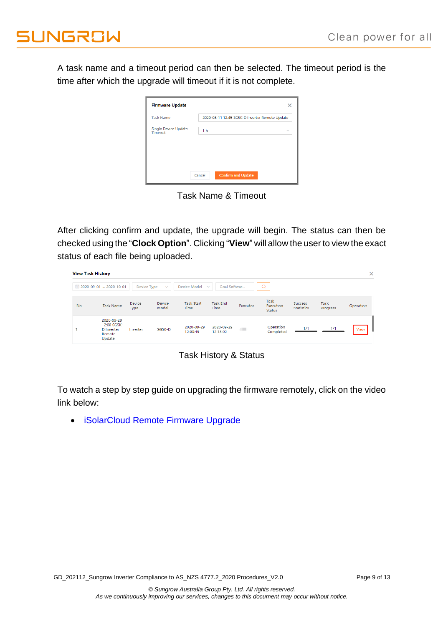A task name and a timeout period can then be selected. The timeout period is the time after which the upgrade will timeout if it is not complete.

| <b>Task Name</b>                | 2020-08-11 12:45 SG5K-D Inverter Remote Update |              |
|---------------------------------|------------------------------------------------|--------------|
| Single Device Update<br>Timeout | 1 <sub>h</sub>                                 | $\checkmark$ |
|                                 |                                                |              |

Task Name & Timeout

After clicking confirm and update, the upgrade will begin. The status can then be checked using the "**Clock Option**". Clicking "**View**" will allow the user to view the exact status of each file being uploaded.

| <b>View Task History</b> |                                                             |                |                 |                           |                              |          |                             |                              |                  | $\times$  |
|--------------------------|-------------------------------------------------------------|----------------|-----------------|---------------------------|------------------------------|----------|-----------------------------|------------------------------|------------------|-----------|
|                          | ■ 2020-09-01 ~ 2020-10-01                                   | Device Type    | $\checkmark$    | Device Model              | Goal Softwar<br>$\checkmark$ |          | $\Omega$                    |                              |                  |           |
| No.                      | <b>Task Name</b>                                            | Device<br>Type | Device<br>Model | <b>Task Start</b><br>Time | <b>Task End</b><br>Time      | Executor | Task<br>Execution<br>Status | Success<br><b>Statistics</b> | Task<br>Progress | Operation |
|                          | 2020-09-29<br>12:00 SG5K-<br>D Inverter<br>Remote<br>Update | Inverter       | SG5K-D          | 2020-09-29<br>12:00:45    | 2020-09-29<br>12:13:02       | Œ        | Operation<br>Completed      | 1/1                          | 1/1              | View      |

Task History & Status

To watch a step by step guide on upgrading the firmware remotely, click on the video link below:

• [iSolarCloud Remote Firmware Upgrade](https://youtu.be/3FW_wLOUj6k)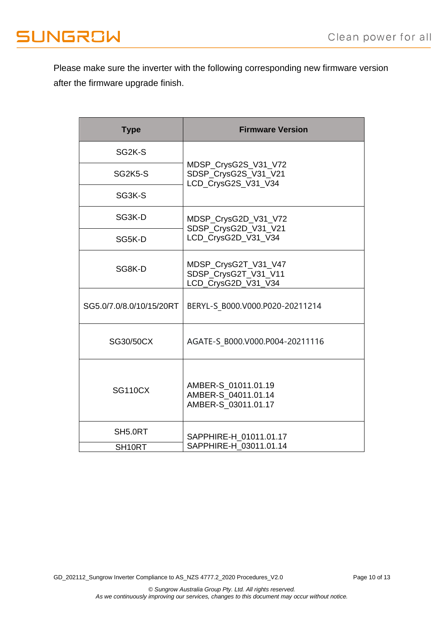# **JUNGROW**

Please make sure the inverter with the following corresponding new firmware version after the firmware upgrade finish.

| <b>Type</b>              | <b>Firmware Version</b>                                             |  |  |  |
|--------------------------|---------------------------------------------------------------------|--|--|--|
| SG <sub>2K</sub> -S      |                                                                     |  |  |  |
| SG2K5-S                  | MDSP_CrysG2S_V31_V72<br>SDSP_CrysG2S_V31_V21<br>LCD_CrysG2S_V31_V34 |  |  |  |
| SG3K-S                   |                                                                     |  |  |  |
| SG3K-D                   | MDSP_CrysG2D_V31_V72<br>SDSP_CrysG2D_V31_V21                        |  |  |  |
| SG5K-D                   | LCD_CrysG2D_V31_V34                                                 |  |  |  |
| SG8K-D                   | MDSP_CrysG2T_V31_V47<br>SDSP_CrysG2T_V31_V11<br>LCD_CrysG2D_V31_V34 |  |  |  |
| SG5.0/7.0/8.0/10/15/20RT | BERYL-S B000.V000.P020-20211214                                     |  |  |  |
| SG30/50CX                | AGATE-S B000.V000.P004-20211116                                     |  |  |  |
| <b>SG110CX</b>           | AMBER-S_01011.01.19<br>AMBER-S 04011.01.14<br>AMBER-S_03011.01.17   |  |  |  |
| SH5.0RT                  | SAPPHIRE-H_01011.01.17                                              |  |  |  |
| SH <sub>10RT</sub>       | SAPPHIRE-H 03011.01.14                                              |  |  |  |

GD\_202112\_Sungrow Inverter Compliance to AS\_NZS 4777.2\_2020 Procedures\_V2.0 Page 10 of 13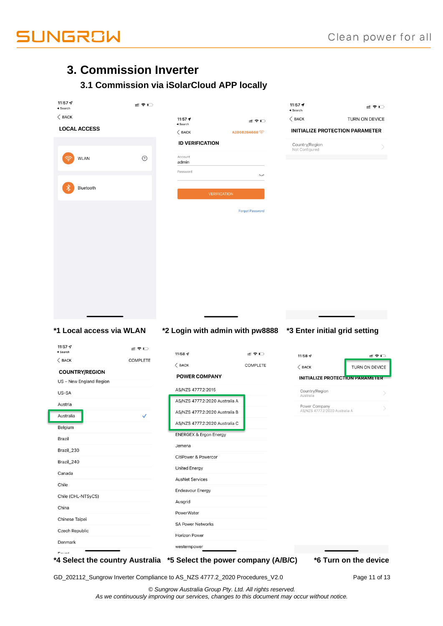

## **3. Commission Inverter**

## **3.1 Commission via iSolarCloud APP locally**

| 11:57 $\mathcal{A}$<br>$\triangleleft$ Search         | … ↓             |                                                               |                        | 11:57 $\rightarrow$<br>$\triangleleft$ Search | ::!! 令 □                               |
|-------------------------------------------------------|-----------------|---------------------------------------------------------------|------------------------|-----------------------------------------------|----------------------------------------|
| $\langle$ BACK                                        |                 | 11:57 $\rightarrow$                                           | ≝া ক মা                | $\langle$ BACK                                | TURN ON DEVICE                         |
| <b>LOCAL ACCESS</b>                                   |                 | $\triangleleft$ Search<br>$\langle$ BACK                      | A2008284668            | <b>INITIALIZE PROTECTION PARAMETER</b>        |                                        |
|                                                       |                 | <b>ID VERIFICATION</b>                                        |                        | Country/Region                                |                                        |
|                                                       |                 |                                                               |                        | Not Configured                                |                                        |
| WLAN                                                  | $\odot$         | Account<br>admin                                              |                        |                                               |                                        |
|                                                       |                 | Password                                                      | ļ                      |                                               |                                        |
| Bluetooth                                             |                 |                                                               |                        |                                               |                                        |
|                                                       |                 | <b>VERIFICATION</b>                                           |                        |                                               |                                        |
|                                                       |                 |                                                               | <b>Forgot Password</b> |                                               |                                        |
|                                                       |                 |                                                               |                        |                                               |                                        |
|                                                       |                 |                                                               |                        |                                               |                                        |
|                                                       |                 |                                                               |                        |                                               |                                        |
|                                                       |                 |                                                               |                        |                                               |                                        |
|                                                       |                 |                                                               |                        |                                               |                                        |
|                                                       |                 |                                                               |                        |                                               |                                        |
|                                                       |                 |                                                               |                        |                                               |                                        |
|                                                       |                 |                                                               |                        |                                               |                                        |
|                                                       |                 |                                                               |                        |                                               |                                        |
|                                                       |                 |                                                               |                        |                                               |                                        |
|                                                       |                 |                                                               |                        |                                               |                                        |
|                                                       |                 |                                                               |                        |                                               |                                        |
|                                                       |                 |                                                               |                        |                                               |                                        |
|                                                       |                 | *2 Login with admin with pw8888 *3 Enter initial grid setting |                        |                                               |                                        |
| 11:57 $\mathcal{Q}$<br>$\triangleleft$ Search         | ≝?∟             |                                                               |                        |                                               |                                        |
| $\langle$ BACK                                        | <b>COMPLETE</b> | 11:58 $\sim$                                                  | ∷! ∻ ⊡                 | 11:58 $\sim$                                  | :‼ হ় ⊡                                |
| <b>COUNTRY/REGION</b>                                 |                 | $\langle$ BACK                                                | <b>COMPLETE</b>        | $\langle$ BACK                                |                                        |
| US - New England Region                               |                 | <b>POWER COMPANY</b>                                          |                        |                                               | <b>INITIALIZE PROTECTION PARAMETER</b> |
| US-SA                                                 |                 | AS/NZS 4777.2:2015                                            |                        | Country/Region<br>Australia                   | TURN ON DEVICE                         |
| Austria                                               |                 | AS/NZS 4777.2:2020 Australia A                                |                        | Power Company                                 |                                        |
| Australia                                             | ✓               | AS/NZS 4777.2:2020 Australia B                                |                        | AS/NZS 4777.2:2020 Australia A                |                                        |
| Belgium                                               |                 | AS/NZS 4777.2:2020 Australia C                                |                        |                                               |                                        |
| Brazil                                                |                 | <b>ENERGEX &amp; Ergon Energy</b>                             |                        |                                               |                                        |
| Brazil_230                                            |                 | Jemena                                                        |                        |                                               |                                        |
| Brazil_240                                            |                 | CitiPower & Powercor                                          |                        |                                               |                                        |
| Canada                                                |                 | <b>United Energy</b>                                          |                        |                                               |                                        |
| Chile                                                 |                 | <b>AusNet Services</b>                                        |                        |                                               |                                        |
| Chile (CHL-NTSyCS)                                    |                 | <b>Endeavour Energy</b>                                       |                        |                                               |                                        |
|                                                       |                 | Ausgrid                                                       |                        |                                               |                                        |
| China                                                 |                 | PowerWater                                                    |                        |                                               |                                        |
| Chinese Taipei                                        |                 | <b>SA Power Networks</b>                                      |                        |                                               |                                        |
| *1 Local access via WLAN<br>Czech Republic<br>Denmark |                 | <b>Horizon Power</b>                                          |                        |                                               |                                        |

GD\_202112\_Sungrow Inverter Compliance to AS\_NZS 4777.2\_2020 Procedures\_V2.0 Page 11 of 13

*© Sungrow Australia Group Pty. Ltd. All rights reserved. As we continuously improving our services, changes to this document may occur without notice.*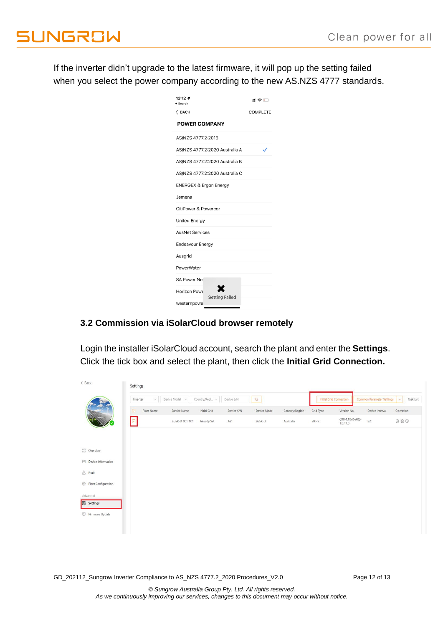If the inverter didn't upgrade to the latest firmware, it will pop up the setting failed when you select the power company according to the new AS.NZS 4777 standards.

| 12:12 $\blacktriangleright$<br>Search |                                | 삐ଛ⊡ |  |
|---------------------------------------|--------------------------------|-----|--|
| $\langle$ BACK                        | <b>COMPLETE</b>                |     |  |
| <b>POWER COMPANY</b>                  |                                |     |  |
| AS/NZS 4777.2:2015                    |                                |     |  |
|                                       | AS/NZS 4777.2:2020 Australia A | ✓   |  |
|                                       | AS/NZS 4777.2:2020 Australia B |     |  |
|                                       | AS/NZS 4777.2:2020 Australia C |     |  |
| <b>ENERGEX &amp; Ergon Energy</b>     |                                |     |  |
| Jemena                                |                                |     |  |
| CitiPower & Powercor                  |                                |     |  |
| <b>United Energy</b>                  |                                |     |  |
| <b>AusNet Services</b>                |                                |     |  |
| <b>Endeavour Energy</b>               |                                |     |  |
| Ausgrid                               |                                |     |  |
| PowerWater                            |                                |     |  |
| SA Power Net                          |                                |     |  |
| Horizon Powe                          |                                |     |  |
| westernpowe                           | <b>Setting Failed</b>          |     |  |

### **3.2 Commission via iSolarCloud browser remotely**

Login the installer iSolarCloud account, search the plant and enter the **Settings**. Click the tick box and select the plant, then click the **Initial Grid Connection.**

| < Back                            | Settings             |                                  |            |              |                |           |                                |                                  |                     |
|-----------------------------------|----------------------|----------------------------------|------------|--------------|----------------|-----------|--------------------------------|----------------------------------|---------------------|
|                                   | Inverter<br>$\vee$   | Country/Regi v<br>Device Model v | Device S/N | $\Omega$     |                |           | <b>Initial Grid Connection</b> | <b>Common Parameter Settings</b> | Task List<br>$\vee$ |
|                                   | $\Box$<br>Plant Name | Device Name<br>Initial Grid      | Device S/N | Device Model | Country/Region | Grid Type | Version No.                    | Device Interval                  | Operation           |
|                                   | ▣                    | SG5K-D 001 001<br>Already Set    | A2         | SG5K-D       | Australia      | 50 Hz     | CR0-1.0.5.0-AR0-<br>1.0.17.0   | B <sub>2</sub>                   | a a o               |
|                                   |                      |                                  |            |              |                |           |                                |                                  |                     |
| <b>BB</b> Overview                |                      |                                  |            |              |                |           |                                |                                  |                     |
| Device Information                |                      |                                  |            |              |                |           |                                |                                  |                     |
| $\triangle$ Fault                 |                      |                                  |            |              |                |           |                                |                                  |                     |
| <sup>5</sup> Plant Configuration  |                      |                                  |            |              |                |           |                                |                                  |                     |
| Advanced<br><b>&amp;</b> Settings |                      |                                  |            |              |                |           |                                |                                  |                     |
| Firmware Update                   |                      |                                  |            |              |                |           |                                |                                  |                     |
|                                   |                      |                                  |            |              |                |           |                                |                                  |                     |
|                                   |                      |                                  |            |              |                |           |                                |                                  |                     |

GD\_202112\_Sungrow Inverter Compliance to AS\_NZS 4777.2\_2020 Procedures\_V2.0 Page 12 of 13